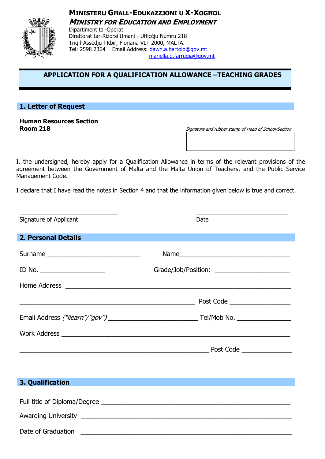# **MINISTERU GHALL-EDUKAZZJONI U X-XOGHOL MINISTRY FOR EDUCATION AND EMPLOYMENT**



Dipartiment tal-Operat Direttorat tar-Riżorsi Umani - Ufficcju Numru 218 Triq I-Assedju I-Kbir, Floriana VLT 2000, MALTA. Tel: 2598 2364 Email Address: dawn.a.bartolo@gov.mt mariella.g.farrugia@gov.mt

# APPLICATION FOR A QUALIFICATION ALLOWANCE -TEACHING GRADES

# 1. Letter of Request

### **Human Resources Section Room 218**

Signature and rubber stamp of Head of School/Section

I, the undersigned, hereby apply for a Qualification Allowance in terms of the relevant provisions of the agreement between the Government of Malta and the Malta Union of Teachers, and the Public Service Management Code.

I declare that I have read the notes in Section 4 and that the information given below is true and correct.

| Signature of Applicant     | Date                                          |  |
|----------------------------|-----------------------------------------------|--|
| <b>2. Personal Details</b> |                                               |  |
|                            |                                               |  |
| ID No. $\qquad \qquad$     | Grade/Job/Position: _________________________ |  |
|                            |                                               |  |
|                            |                                               |  |
|                            |                                               |  |
|                            |                                               |  |
|                            |                                               |  |
|                            |                                               |  |
| 3. Qualification           |                                               |  |
|                            |                                               |  |
|                            |                                               |  |
| Date of Graduation         |                                               |  |